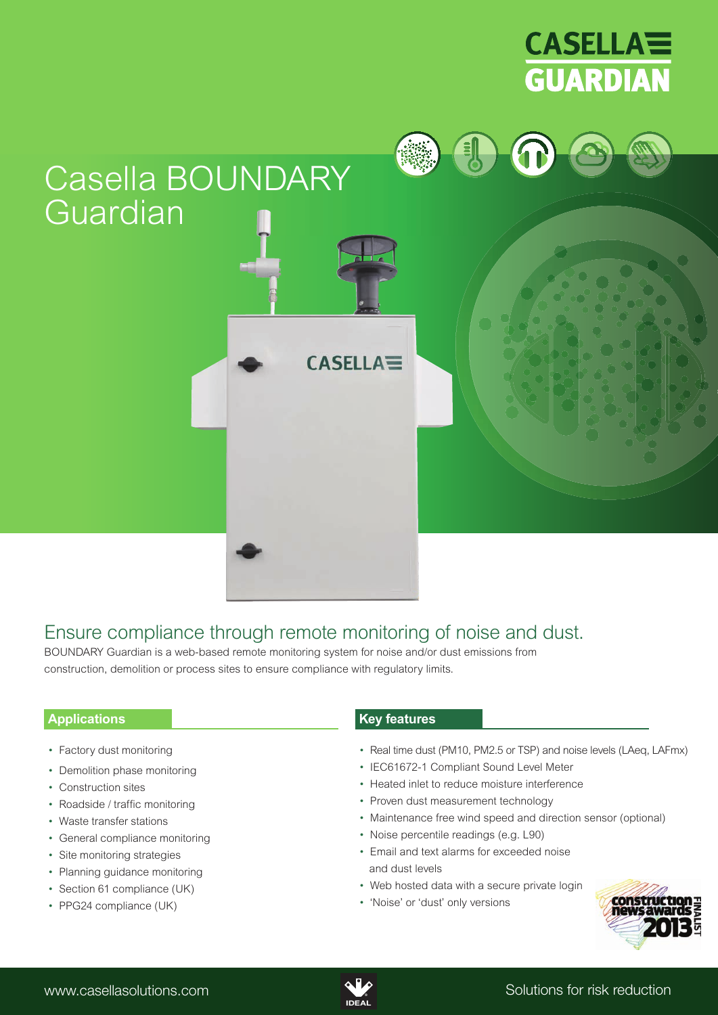

# Casella BOUNDARY Guardian

# Ensure compliance through remote monitoring of noise and dust.

**CASELLA<sup>≡</sup>** 

BOUNDARY Guardian is a web-based remote monitoring system for noise and/or dust emissions from construction, demolition or process sites to ensure compliance with regulatory limits.

# **Applications**

- Factory dust monitoring
- Demolition phase monitoring
- Construction sites
- Roadside / traffic monitoring
- Waste transfer stations
- General compliance monitoring
- Site monitoring strategies
- Planning guidance monitoring
- Section 61 compliance (UK)
- PPG24 compliance (UK)

# **Key features**

- Real time dust (PM10, PM2.5 or TSP) and noise levels (LAeq, LAFmx)
- IEC61672-1 Compliant Sound Level Meter
- Heated inlet to reduce moisture interference
- Proven dust measurement technology
- Maintenance free wind speed and direction sensor (optional)
- Noise percentile readings (e.g. L90)
- Email and text alarms for exceeded noise and dust levels
- Web hosted data with a secure private login
- 'Noise' or 'dust' only versions



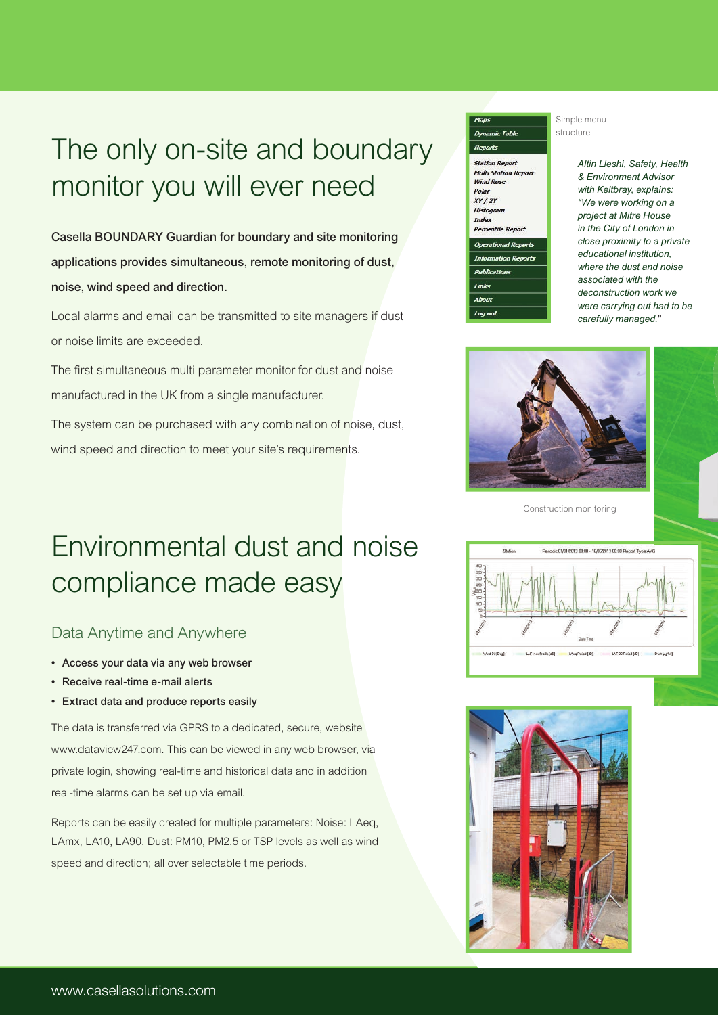# The only on-site and boundary monitor you will ever need

**Casella BOUNDARY Guardian for boundary and site monitoring applications provides simultaneous, remote monitoring of dust, noise, wind speed and direction.**

Local alarms and email can be transmitted to site managers if dust or noise limits are exceeded.

The first simultaneous multi parameter monitor for dust and noise manufactured in the UK from a single manufacturer.

The system can be purchased with any combination of noise, dust, wind speed and direction to meet your site's requirements.

# **Station Report Multi Station Report Wind Rose** Polar  $XY/2Y$ Histogram Index **Percentile Repe** Links Abou

Simple menu structure

> *Altin Lleshi, Safety, Health & Environment Advisor with Keltbray, explains: "We were working on a project at Mitre House in the City of London in close proximity to a private educational institution, where the dust and noise associated with the deconstruction work we were carrying out had to be carefully managed.***"**



Construction monitoring

# Environmental dust and noise compliance made easy

# Data Anytime and Anywhere

- **• Access your data via any web browser**
- **Receive real-time e-mail alerts**
- **• Extract data and produce reports easily**

The data is transferred via GPRS to a dedicated, secure, website www.dataview247.com. This can be viewed in any web browser, via private login, showing real-time and historical data and in addition real-time alarms can be set up via email.

Reports can be easily created for multiple parameters: Noise: LAeq, LAmx, LA10, LA90. Dust: PM10, PM2.5 or TSP levels as well as wind speed and direction; all over selectable time periods.



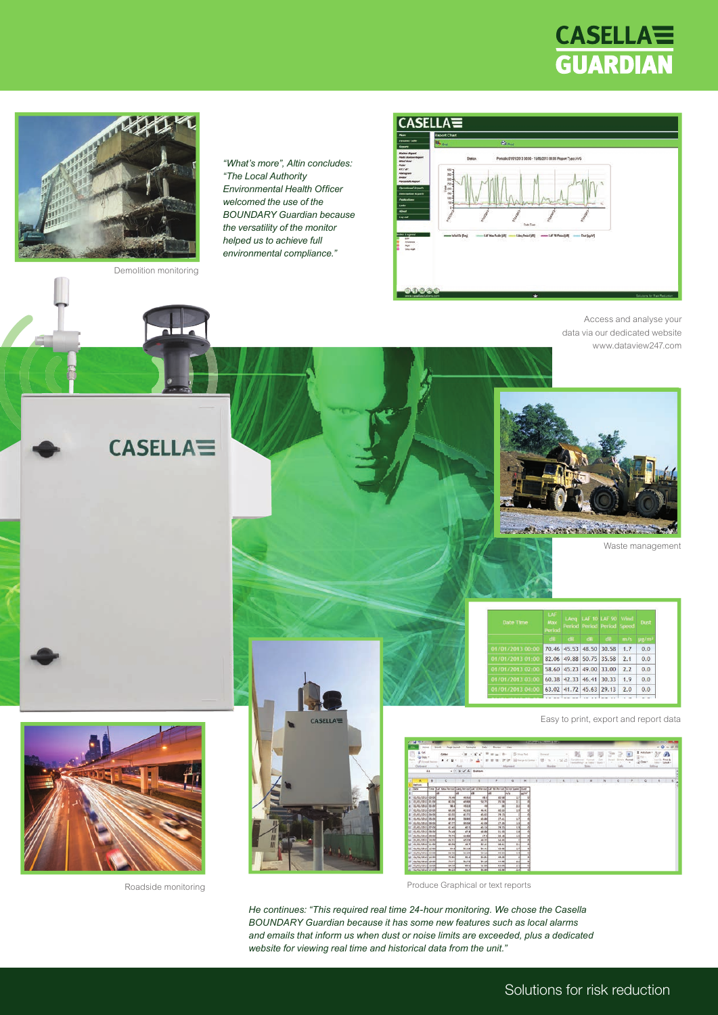# **CASELLA<sup>=</sup> GUARDIAN**



Demolition monitoring

**CASELLA<sup>=</sup>** 

## **CASELLA=**



Access and analyse your data via our dedicated website www.dataview247.com

Waste management



Roadside monitoring



*"What's more", Altin concludes:*

*"The Local Authority* **Environmental Health Officer** *welcomed the use of the BOUNDARY Guardian because the versatility of the monitor helped us to achieve full environmental compliance."*





All Protein

Easy to print, export and report data

|                 | --                                                    |                |                                                                                 |                                       |                          |               |               |                                          | <b>PURPLETED TO SALE PARTS SALES</b> |             |        |                  |  |                          |        |                               |                       |                           |        |                                             |   |        |                                               |  |
|-----------------|-------------------------------------------------------|----------------|---------------------------------------------------------------------------------|---------------------------------------|--------------------------|---------------|---------------|------------------------------------------|--------------------------------------|-------------|--------|------------------|--|--------------------------|--------|-------------------------------|-----------------------|---------------------------|--------|---------------------------------------------|---|--------|-----------------------------------------------|--|
|                 | <b>Point</b>                                          |                | <b>Died</b><br><b>Regis Liscout</b>                                             |                                       | Portfolia<br><b>Sata</b> | <b>Barnes</b> | <b>View</b>   |                                          |                                      |             |        |                  |  |                          |        |                               |                       |                           |        |                                             |   |        | $\alpha\cdot\mathbf{Q}=\alpha\cdot\mathbf{H}$ |  |
| 53<br>Farm      | A 06<br>Ea Copy +<br>of financial fraction<br>Olimped |                | California<br>$\mathbf{u}$<br>$B - 2$                                           | $-148$<br>$+121$<br>Fert              | $\mathcal{K}$<br>16      | $-4 -$        | Allumead      | <b>Corrent Ford</b><br>Marija & Tarritor |                                      | Trained and | Humber | а<br>$\sim$<br>m |  | at types<br>their        | thinks | TP.<br><b>Track</b><br>$\sim$ | $\sim$<br><b>Calc</b> | 匡<br><b>Totals Parent</b> | $\sim$ | E Holsham +<br>$\frac{1}{2}$ or .<br>2 Ones |   | fotbox | For 6.<br>Smith 1                             |  |
|                 |                                                       | A1             |                                                                                 | $ \times$ $\times$ $\Lambda$ Station: |                          |               |               |                                          |                                      |             |        |                  |  |                          |        |                               |                       |                           |        |                                             |   |        |                                               |  |
|                 |                                                       |                |                                                                                 |                                       |                          |               |               |                                          |                                      |             |        |                  |  |                          |        |                               |                       |                           |        |                                             |   |        |                                               |  |
| a               | ж                                                     | $\blacksquare$ | c                                                                               | ×                                     |                          |               |               |                                          |                                      |             |        |                  |  | $\overline{\phantom{a}}$ |        |                               | $\circ$               |                           |        |                                             | ۰ | ×      |                                               |  |
|                 | <b>Thefine</b>                                        |                |                                                                                 |                                       |                          |               |               |                                          |                                      |             |        |                  |  |                          |        |                               |                       |                           |        |                                             |   | w      |                                               |  |
|                 | <b>Date</b>                                           |                | Total S.Af Max Period Lides Period LAF 10 Recise LAF 90 Period Wind Spaint Dual | w                                     | 1an                      | w             |               |                                          |                                      |             |        |                  |  |                          |        |                               |                       |                           |        |                                             |   |        |                                               |  |
|                 | <b>BEASTARTED CO.OU</b>                               |                | 70.44                                                                           | 49.53                                 | 48.9                     | agail         | mh<br>21      | w                                        |                                      |             |        |                  |  |                          |        |                               |                       |                           |        |                                             |   |        |                                               |  |
|                 | <b>BURUSBLS EL 00</b>                                 |                | 43.04                                                                           | 43,880                                | 55.75                    | 15.58         | 11            |                                          |                                      |             |        |                  |  |                          |        |                               |                       |                           |        |                                             |   |        |                                               |  |
|                 | BL-BL-SBLB 80.00                                      |                | 14.6                                                                            | 49.23                                 | 48                       | 33            | 11            |                                          |                                      |             |        |                  |  |                          |        |                               |                       |                           |        |                                             |   |        |                                               |  |
|                 | <b>DEVELOPLE</b> CRIME                                |                | 60,880                                                                          | 62,880                                | 66.87                    | acasi         | 1M            |                                          |                                      |             |        |                  |  |                          |        |                               |                       |                           |        |                                             |   |        |                                               |  |
|                 | 81.451.0015 64 01                                     |                | 43.53                                                                           | 41.77                                 | 45.65                    | 29.13         |               | 38                                       |                                      |             |        |                  |  |                          |        |                               |                       |                           |        |                                             |   |        |                                               |  |
|                 | 01/01/3013 05:00                                      |                | 60.81                                                                           | 29.95                                 | 43.64                    | 27.41         | 1.P           |                                          |                                      |             |        |                  |  |                          |        |                               |                       |                           |        |                                             |   |        |                                               |  |
| 1b <sup>1</sup> | 00/00/2013 06:00                                      |                | 47.77                                                                           | \$5.06                                | 42.08                    | 27.88         | 2.00          |                                          |                                      |             |        |                  |  |                          |        |                               |                       |                           |        |                                             |   |        |                                               |  |
| lш              | 01/01/1013 07:00                                      |                | 61.4%                                                                           | 405                                   | 41.06                    | 29.33         | 150           |                                          |                                      |             |        |                  |  |                          |        |                               |                       |                           |        |                                             |   |        |                                               |  |
| E               | es/es/possible.net                                    |                | 74.490                                                                          | 47.9                                  | 48.86                    | 95.99         | 18            |                                          |                                      |             |        |                  |  |                          |        |                               |                       |                           |        |                                             |   |        |                                               |  |
|                 | 11 EL/EL/SELE DO DE                                   |                | 10.73                                                                           | 14.84                                 | 67.8                     | 55,16         | 1.10          |                                          |                                      |             |        |                  |  |                          |        |                               |                       |                           |        |                                             |   |        |                                               |  |
|                 | 14 FL/ELODER 10 DO                                    |                | 66.21                                                                           | 45.78                                 | 48.75                    | 14.00         |               | Ħ                                        |                                      |             |        |                  |  |                          |        |                               |                       |                           |        |                                             |   |        |                                               |  |
|                 | 15 00/06/2015 11:00                                   |                | 63.04                                                                           | 48.7                                  | 82.41                    | 18.81         | 11            |                                          |                                      |             |        |                  |  |                          |        |                               |                       |                           |        |                                             |   |        |                                               |  |
|                 | 18 01/01/2018 12:00                                   |                | 64.80                                                                           | \$1,18                                | \$4.42                   | 45.44         | $\frac{1}{2}$ |                                          |                                      |             |        |                  |  |                          |        |                               |                       |                           |        |                                             |   |        |                                               |  |
|                 | EXT REARCARED EXTRE                                   |                | 66.54                                                                           | 51.34                                 | 54.56                    | 44.93         | 18            |                                          |                                      |             |        |                  |  |                          |        |                               |                       |                           |        |                                             |   |        |                                               |  |
|                 | 18 01/06/3019 14:00                                   |                | 10.64                                                                           | 53.1                                  | 54.91                    | 48.19         |               |                                          |                                      |             |        |                  |  |                          |        |                               |                       |                           |        |                                             |   |        |                                               |  |
|                 | 15 DE/CE/SOLA 25:00                                   |                | 25.77                                                                           | \$1.73                                | \$4.26                   | 44.44         | 11            |                                          |                                      |             |        |                  |  |                          |        |                               |                       |                           |        |                                             |   |        |                                               |  |
|                 | so: 41,451,593 S. 54-000                              |                | 64.540                                                                          | 49.6                                  | 34.66                    | 63.06         | 15            |                                          |                                      |             |        |                  |  |                          |        |                               |                       |                           |        |                                             |   |        |                                               |  |
|                 | 21 00/00/2015 17:00                                   |                | 64.25                                                                           | 36.90                                 | 53.64                    | 45.64         | 13            |                                          |                                      |             |        |                  |  |                          |        |                               |                       |                           |        |                                             |   |        |                                               |  |

Produce Graphical or text reports

*He continues: "This required real time 24-hour monitoring. We chose the Casella BOUNDARY Guardian because it has some new features such as local alarms and emails that inform us when dust or noise limits are exceeded, plus a dedicated website for viewing real time and historical data from the unit."*